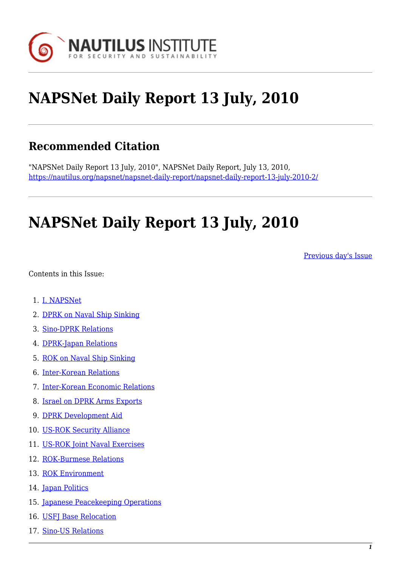

# **NAPSNet Daily Report 13 July, 2010**

# **Recommended Citation**

"NAPSNet Daily Report 13 July, 2010", NAPSNet Daily Report, July 13, 2010, <https://nautilus.org/napsnet/napsnet-daily-report/napsnet-daily-report-13-july-2010-2/>

# **NAPSNet Daily Report 13 July, 2010**

[Previous day's Issue](https://nautilus.org/mailing-lists/napsnet/dr/2010-2/napsnet-daily-report-12-july-2010/)

<span id="page-0-0"></span>Contents in this Issue:

- 1. [I. NAPSNet](#page-1-0)
- 2. [DPRK on Naval Ship Sinking](#page-1-1)
- 3. [Sino-DPRK Relations](#page-1-2)
- 4. [DPRK-Japan Relations](#page-1-3)
- 5. [ROK on Naval Ship Sinking](#page-2-0)
- 6. [Inter-Korean Relations](#page-2-1)
- 7. [Inter-Korean Economic Relations](#page-2-2)
- 8. [Israel on DPRK Arms Exports](#page-3-0)
- 9. [DPRK Development Aid](#page-3-1)
- 10. [US-ROK Security Alliance](#page-3-2)
- 11. [US-ROK Joint Naval Exercises](#page-4-0)
- 12. [ROK-Burmese Relations](#page-4-1)
- 13. [ROK Environment](#page-4-2)
- 14. [Japan Politics](#page-5-0)
- 15. [Japanese Peacekeeping Operations](#page-5-1)
- 16. [USFJ Base Relocation](#page-5-2)
- 17. [Sino-US Relations](#page-6-0)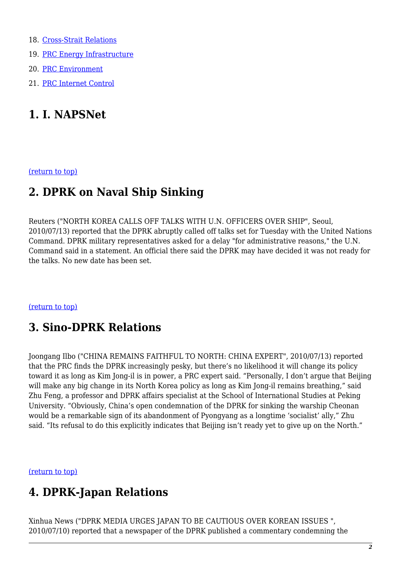- 18. [Cross-Strait Relations](#page-6-1)
- 19. [PRC Energy Infrastructure](#page-7-0)
- 20. [PRC Environment](#page-7-1)
- 21. [PRC Internet Control](#page-7-2)

# <span id="page-1-0"></span>**1. I. NAPSNet**

<span id="page-1-1"></span>[\(return to top\)](#page-0-0)

### **2. DPRK on Naval Ship Sinking**

Reuters ("NORTH KOREA CALLS OFF TALKS WITH U.N. OFFICERS OVER SHIP", Seoul, 2010/07/13) reported that the DPRK abruptly called off talks set for Tuesday with the United Nations Command. DPRK military representatives asked for a delay "for administrative reasons," the U.N. Command said in a statement. An official there said the DPRK may have decided it was not ready for the talks. No new date has been set.

#### <span id="page-1-2"></span>[\(return to top\)](#page-0-0)

# **3. Sino-DPRK Relations**

Joongang Ilbo ("CHINA REMAINS FAITHFUL TO NORTH: CHINA EXPERT", 2010/07/13) reported that the PRC finds the DPRK increasingly pesky, but there's no likelihood it will change its policy toward it as long as Kim Jong-il is in power, a PRC expert said. "Personally, I don't argue that Beijing will make any big change in its North Korea policy as long as Kim Jong-il remains breathing," said Zhu Feng, a professor and DPRK affairs specialist at the School of International Studies at Peking University. "Obviously, China's open condemnation of the DPRK for sinking the warship Cheonan would be a remarkable sign of its abandonment of Pyongyang as a longtime 'socialist' ally," Zhu said. "Its refusal to do this explicitly indicates that Beijing isn't ready yet to give up on the North."

<span id="page-1-3"></span>[\(return to top\)](#page-0-0)

# **4. DPRK-Japan Relations**

Xinhua News ("DPRK MEDIA URGES JAPAN TO BE CAUTIOUS OVER KOREAN ISSUES ", 2010/07/10) reported that a newspaper of the DPRK published a commentary condemning the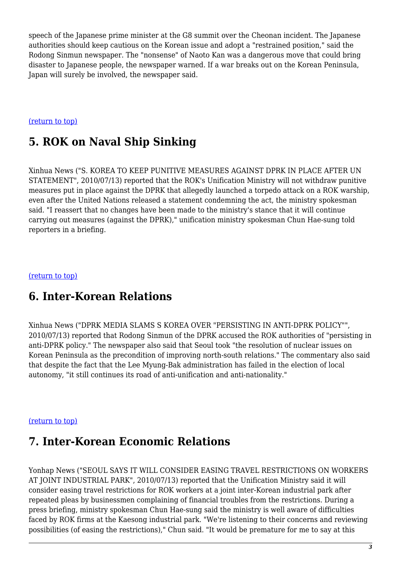speech of the Japanese prime minister at the G8 summit over the Cheonan incident. The Japanese authorities should keep cautious on the Korean issue and adopt a "restrained position," said the Rodong Sinmun newspaper. The "nonsense" of Naoto Kan was a dangerous move that could bring disaster to Japanese people, the newspaper warned. If a war breaks out on the Korean Peninsula, Japan will surely be involved, the newspaper said.

#### <span id="page-2-0"></span>[\(return to top\)](#page-0-0)

# **5. ROK on Naval Ship Sinking**

Xinhua News ("S. KOREA TO KEEP PUNITIVE MEASURES AGAINST DPRK IN PLACE AFTER UN STATEMENT", 2010/07/13) reported that the ROK's Unification Ministry will not withdraw punitive measures put in place against the DPRK that allegedly launched a torpedo attack on a ROK warship, even after the United Nations released a statement condemning the act, the ministry spokesman said. "I reassert that no changes have been made to the ministry's stance that it will continue carrying out measures (against the DPRK)," unification ministry spokesman Chun Hae-sung told reporters in a briefing.

#### <span id="page-2-1"></span>[\(return to top\)](#page-0-0)

### **6. Inter-Korean Relations**

Xinhua News ("DPRK MEDIA SLAMS S KOREA OVER "PERSISTING IN ANTI-DPRK POLICY"", 2010/07/13) reported that Rodong Sinmun of the DPRK accused the ROK authorities of "persisting in anti-DPRK policy." The newspaper also said that Seoul took "the resolution of nuclear issues on Korean Peninsula as the precondition of improving north-south relations." The commentary also said that despite the fact that the Lee Myung-Bak administration has failed in the election of local autonomy, "it still continues its road of anti-unification and anti-nationality."

#### <span id="page-2-2"></span>[\(return to top\)](#page-0-0)

### **7. Inter-Korean Economic Relations**

Yonhap News ("SEOUL SAYS IT WILL CONSIDER EASING TRAVEL RESTRICTIONS ON WORKERS AT JOINT INDUSTRIAL PARK", 2010/07/13) reported that the Unification Ministry said it will consider easing travel restrictions for ROK workers at a joint inter-Korean industrial park after repeated pleas by businessmen complaining of financial troubles from the restrictions. During a press briefing, ministry spokesman Chun Hae-sung said the ministry is well aware of difficulties faced by ROK firms at the Kaesong industrial park. "We're listening to their concerns and reviewing possibilities (of easing the restrictions)," Chun said. "It would be premature for me to say at this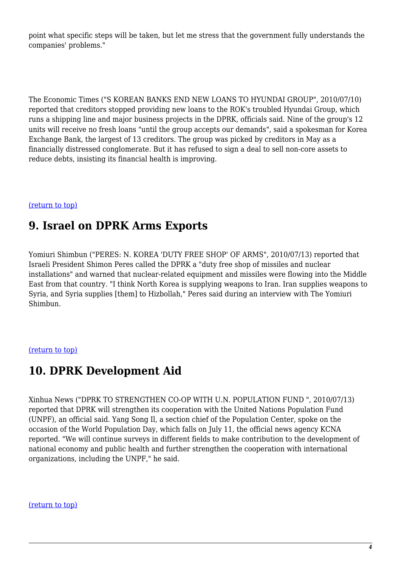point what specific steps will be taken, but let me stress that the government fully understands the companies' problems."

The Economic Times ("S KOREAN BANKS END NEW LOANS TO HYUNDAI GROUP", 2010/07/10) reported that creditors stopped providing new loans to the ROK's troubled Hyundai Group, which runs a shipping line and major business projects in the DPRK, officials said. Nine of the group's 12 units will receive no fresh loans "until the group accepts our demands", said a spokesman for Korea Exchange Bank, the largest of 13 creditors. The group was picked by creditors in May as a financially distressed conglomerate. But it has refused to sign a deal to sell non-core assets to reduce debts, insisting its financial health is improving.

#### <span id="page-3-0"></span>[\(return to top\)](#page-0-0)

### **9. Israel on DPRK Arms Exports**

Yomiuri Shimbun ("PERES: N. KOREA 'DUTY FREE SHOP' OF ARMS", 2010/07/13) reported that Israeli President Shimon Peres called the DPRK a "duty free shop of missiles and nuclear installations" and warned that nuclear-related equipment and missiles were flowing into the Middle East from that country. "I think North Korea is supplying weapons to Iran. Iran supplies weapons to Syria, and Syria supplies [them] to Hizbollah," Peres said during an interview with The Yomiuri Shimbun.

#### <span id="page-3-1"></span>[\(return to top\)](#page-0-0)

# **10. DPRK Development Aid**

Xinhua News ("DPRK TO STRENGTHEN CO-OP WITH U.N. POPULATION FUND ", 2010/07/13) reported that DPRK will strengthen its cooperation with the United Nations Population Fund (UNPF), an official said. Yang Song Il, a section chief of the Population Center, spoke on the occasion of the World Population Day, which falls on July 11, the official news agency KCNA reported. "We will continue surveys in different fields to make contribution to the development of national economy and public health and further strengthen the cooperation with international organizations, including the UNPF," he said.

#### <span id="page-3-2"></span>[\(return to top\)](#page-0-0)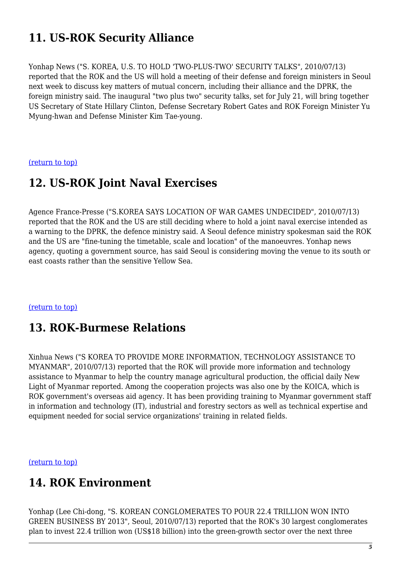# **11. US-ROK Security Alliance**

Yonhap News ("S. KOREA, U.S. TO HOLD 'TWO-PLUS-TWO' SECURITY TALKS", 2010/07/13) reported that the ROK and the US will hold a meeting of their defense and foreign ministers in Seoul next week to discuss key matters of mutual concern, including their alliance and the DPRK, the foreign ministry said. The inaugural "two plus two" security talks, set for July 21, will bring together US Secretary of State Hillary Clinton, Defense Secretary Robert Gates and ROK Foreign Minister Yu Myung-hwan and Defense Minister Kim Tae-young.

<span id="page-4-0"></span>[\(return to top\)](#page-0-0)

### **12. US-ROK Joint Naval Exercises**

Agence France-Presse ("S.KOREA SAYS LOCATION OF WAR GAMES UNDECIDED", 2010/07/13) reported that the ROK and the US are still deciding where to hold a joint naval exercise intended as a warning to the DPRK, the defence ministry said. A Seoul defence ministry spokesman said the ROK and the US are "fine-tuning the timetable, scale and location" of the manoeuvres. Yonhap news agency, quoting a government source, has said Seoul is considering moving the venue to its south or east coasts rather than the sensitive Yellow Sea.

#### <span id="page-4-1"></span>[\(return to top\)](#page-0-0)

# **13. ROK-Burmese Relations**

Xinhua News ("S KOREA TO PROVIDE MORE INFORMATION, TECHNOLOGY ASSISTANCE TO MYANMAR", 2010/07/13) reported that the ROK will provide more information and technology assistance to Myanmar to help the country manage agricultural production, the official daily New Light of Myanmar reported. Among the cooperation projects was also one by the KOICA, which is ROK government's overseas aid agency. It has been providing training to Myanmar government staff in information and technology (IT), industrial and forestry sectors as well as technical expertise and equipment needed for social service organizations' training in related fields.

<span id="page-4-2"></span>[\(return to top\)](#page-0-0)

# **14. ROK Environment**

Yonhap (Lee Chi-dong, "S. KOREAN CONGLOMERATES TO POUR 22.4 TRILLION WON INTO GREEN BUSINESS BY 2013", Seoul, 2010/07/13) reported that the ROK's 30 largest conglomerates plan to invest 22.4 trillion won (US\$18 billion) into the green-growth sector over the next three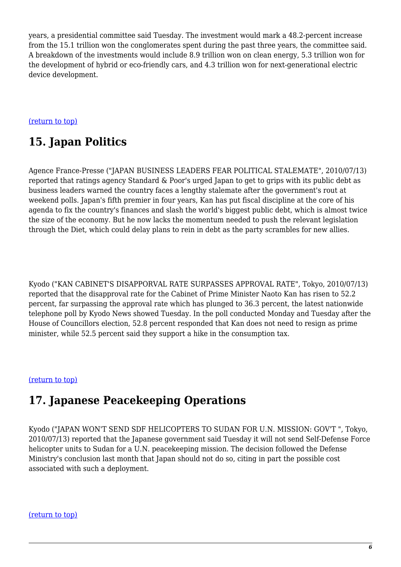years, a presidential committee said Tuesday. The investment would mark a 48.2-percent increase from the 15.1 trillion won the conglomerates spent during the past three years, the committee said. A breakdown of the investments would include 8.9 trillion won on clean energy, 5.3 trillion won for the development of hybrid or eco-friendly cars, and 4.3 trillion won for next-generational electric device development.

#### <span id="page-5-0"></span>[\(return to top\)](#page-0-0)

# **15. Japan Politics**

Agence France-Presse ("JAPAN BUSINESS LEADERS FEAR POLITICAL STALEMATE", 2010/07/13) reported that ratings agency Standard & Poor's urged Japan to get to grips with its public debt as business leaders warned the country faces a lengthy stalemate after the government's rout at weekend polls. Japan's fifth premier in four years, Kan has put fiscal discipline at the core of his agenda to fix the country's finances and slash the world's biggest public debt, which is almost twice the size of the economy. But he now lacks the momentum needed to push the relevant legislation through the Diet, which could delay plans to rein in debt as the party scrambles for new allies.

Kyodo ("KAN CABINET'S DISAPPORVAL RATE SURPASSES APPROVAL RATE", Tokyo, 2010/07/13) reported that the disapproval rate for the Cabinet of Prime Minister Naoto Kan has risen to 52.2 percent, far surpassing the approval rate which has plunged to 36.3 percent, the latest nationwide telephone poll by Kyodo News showed Tuesday. In the poll conducted Monday and Tuesday after the House of Councillors election, 52.8 percent responded that Kan does not need to resign as prime minister, while 52.5 percent said they support a hike in the consumption tax.

#### <span id="page-5-1"></span>[\(return to top\)](#page-0-0)

### **17. Japanese Peacekeeping Operations**

Kyodo ("JAPAN WON'T SEND SDF HELICOPTERS TO SUDAN FOR U.N. MISSION: GOV'T ", Tokyo, 2010/07/13) reported that the Japanese government said Tuesday it will not send Self-Defense Force helicopter units to Sudan for a U.N. peacekeeping mission. The decision followed the Defense Ministry's conclusion last month that Japan should not do so, citing in part the possible cost associated with such a deployment.

#### <span id="page-5-2"></span>[\(return to top\)](#page-0-0)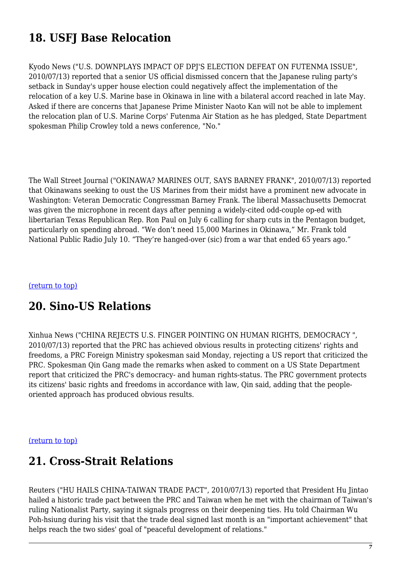# **18. USFJ Base Relocation**

Kyodo News ("U.S. DOWNPLAYS IMPACT OF DPJ'S ELECTION DEFEAT ON FUTENMA ISSUE", 2010/07/13) reported that a senior US official dismissed concern that the Japanese ruling party's setback in Sunday's upper house election could negatively affect the implementation of the relocation of a key U.S. Marine base in Okinawa in line with a bilateral accord reached in late May. Asked if there are concerns that Japanese Prime Minister Naoto Kan will not be able to implement the relocation plan of U.S. Marine Corps' Futenma Air Station as he has pledged, State Department spokesman Philip Crowley told a news conference, "No."

The Wall Street Journal ("OKINAWA? MARINES OUT, SAYS BARNEY FRANK", 2010/07/13) reported that Okinawans seeking to oust the US Marines from their midst have a prominent new advocate in Washington: Veteran Democratic Congressman Barney Frank. The liberal Massachusetts Democrat was given the microphone in recent days after penning a widely-cited odd-couple op-ed with libertarian Texas Republican Rep. Ron Paul on July 6 calling for sharp cuts in the Pentagon budget, particularly on spending abroad. "We don't need 15,000 Marines in Okinawa," Mr. Frank told National Public Radio July 10. "They're hanged-over (sic) from a war that ended 65 years ago."

#### <span id="page-6-0"></span>[\(return to top\)](#page-0-0)

### **20. Sino-US Relations**

Xinhua News ("CHINA REJECTS U.S. FINGER POINTING ON HUMAN RIGHTS, DEMOCRACY ", 2010/07/13) reported that the PRC has achieved obvious results in protecting citizens' rights and freedoms, a PRC Foreign Ministry spokesman said Monday, rejecting a US report that criticized the PRC. Spokesman Qin Gang made the remarks when asked to comment on a US State Department report that criticized the PRC's democracy- and human rights-status. The PRC government protects its citizens' basic rights and freedoms in accordance with law, Qin said, adding that the peopleoriented approach has produced obvious results.

#### <span id="page-6-1"></span>[\(return to top\)](#page-0-0)

### **21. Cross-Strait Relations**

Reuters ("HU HAILS CHINA-TAIWAN TRADE PACT", 2010/07/13) reported that President Hu Jintao hailed a historic trade pact between the PRC and Taiwan when he met with the chairman of Taiwan's ruling Nationalist Party, saying it signals progress on their deepening ties. Hu told Chairman Wu Poh-hsiung during his visit that the trade deal signed last month is an "important achievement" that helps reach the two sides' goal of "peaceful development of relations."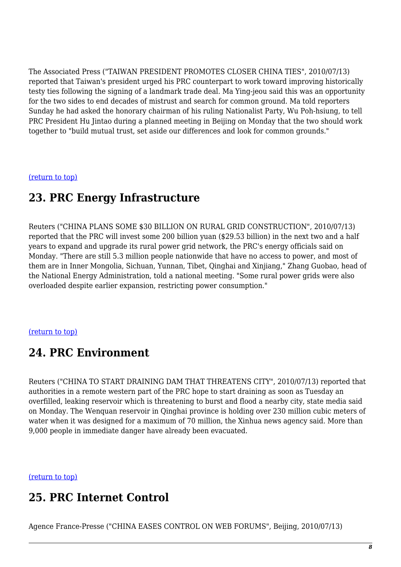The Associated Press ("TAIWAN PRESIDENT PROMOTES CLOSER CHINA TIES", 2010/07/13) reported that Taiwan's president urged his PRC counterpart to work toward improving historically testy ties following the signing of a landmark trade deal. Ma Ying-jeou said this was an opportunity for the two sides to end decades of mistrust and search for common ground. Ma told reporters Sunday he had asked the honorary chairman of his ruling Nationalist Party, Wu Poh-hsiung, to tell PRC President Hu Jintao during a planned meeting in Beijing on Monday that the two should work together to "build mutual trust, set aside our differences and look for common grounds."

#### <span id="page-7-0"></span>[\(return to top\)](#page-0-0)

### **23. PRC Energy Infrastructure**

Reuters ("CHINA PLANS SOME \$30 BILLION ON RURAL GRID CONSTRUCTION", 2010/07/13) reported that the PRC will invest some 200 billion yuan (\$29.53 billion) in the next two and a half years to expand and upgrade its rural power grid network, the PRC's energy officials said on Monday. "There are still 5.3 million people nationwide that have no access to power, and most of them are in Inner Mongolia, Sichuan, Yunnan, Tibet, Qinghai and Xinjiang," Zhang Guobao, head of the National Energy Administration, told a national meeting. "Some rural power grids were also overloaded despite earlier expansion, restricting power consumption."

#### <span id="page-7-1"></span>[\(return to top\)](#page-0-0)

### **24. PRC Environment**

Reuters ("CHINA TO START DRAINING DAM THAT THREATENS CITY", 2010/07/13) reported that authorities in a remote western part of the PRC hope to start draining as soon as Tuesday an overfilled, leaking reservoir which is threatening to burst and flood a nearby city, state media said on Monday. The Wenquan reservoir in Qinghai province is holding over 230 million cubic meters of water when it was designed for a maximum of 70 million, the Xinhua news agency said. More than 9,000 people in immediate danger have already been evacuated.

<span id="page-7-2"></span>[\(return to top\)](#page-0-0)

### **25. PRC Internet Control**

Agence France-Presse ("CHINA EASES CONTROL ON WEB FORUMS", Beijing, 2010/07/13)